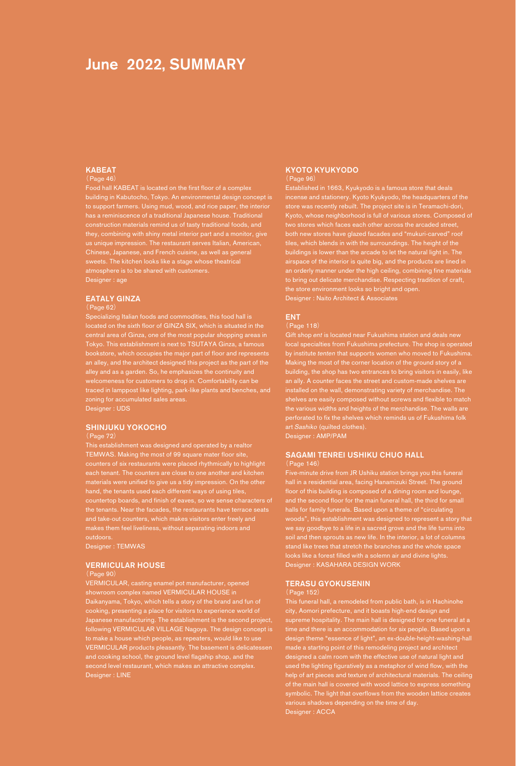# June 2022, SUMMARY

#### KABEAT Page

building in Kabutocho, Tokyo. An environmental design concept is to support farmers. Using mud, wood, and rice paper, the interior they, combining with shiny metal interior part and a monitor, give Chinese, Japanese, and French cuisine, as well as general nosphere is to be shared with customers. Designer : age

### EATALY GINZA

#### (Page 62)

located on the sixth floor of GINZA SIX, which is situated in the central area of Ginza, one of the most popular shopping areas in bookstore, which occupies the major part of floor and represents an alley, and the architect designed this project as the part of the alley and as a garden. So, he emphasizes the continuity and welcomeness for customers to drop in. Comfortability can be traced in lamppost like lighting, park-like plants and benches, and Designer : UDS

#### SHINJUKU YOKOCHO

#### (Page 72)

TEMWAS. Making the most of 99 square mater floor site, counters of six restaurants were placed rhythmically to highlight the tenants. Near the facades, the restaurants have terrace seats and take-out counters, which makes visitors enter freely and makes them feel liveliness, without separating indoors and

Designer : TEMWAS

#### VERMICULAR HOUSE

#### (Page 90)

VERMICULAR, casting enamel pot manufacturer, opened showroom complex named VERMICULAR HOUSE in Daikanyama, Tokyo, which tells a story of the brand and fun of cooking, presenting a place for visitors to experience world of following VERMICULAR VILLAGE Nagoya. The design concept is to make a house which people, as repeaters, would like to use VERMICULAR products pleasantly. The basement is delicatessen and cooking school, the ground level flagship shop, and the second level restaurant, which makes an attractive complex. Designer : LINE

### KYOTO KYUKYODO

(Page 96)

incense and stationery. Kyoto Kyukyodo, the headquarters of the both new stores have glazed facades and "mukuri-carved" roof tiles, which blends in with the surroundings. The height of the buildings is lower than the arcade to let the natural light in. The an orderly manner under the high ceiling, combining fine materials to bring out delicate merchandise. Respecting tradition of craft, the store environment looks so bright and open. Designer : Naito Architect & Associates

### ENT

#### (Page 118)

by institute tenten that supports women who moved to Fukushima. Making the most of the corner location of the ground story of a building, the shop has two entrances to bring visitors in easily, like an ally. A counter faces the street and custom-made shelves are the various widths and heights of the merchandise. The walls are perforated to fix the shelves which reminds us of Fukushima folk art Sashiko (quilted clothes).

Designer : AMP/PAM

### SAGAMI TENREI USHIKU CHUO HALL

(Page 146)

Five-minute drive from JR Ushiku station brings you this funeral hall in a residential area, facing Hanamizuki Street. The ground floor of this building is composed of a dining room and lounge, halls for family funerals. Based upon a theme of "circulating woods", this establishment was designed to represent a story that we say goodbye to a life in a sacred grove and the life turns into looks like a forest filled with a solemn air and divine lights. Designer : KASAHARA DESIGN WORK

#### TERASU GYOKUSENIN

city, Aomori prefecture, and it boasts high-end design and supreme hospitality. The main hall is designed for one funeral at a time and there is an accommodation for six people. Based upon a design theme "essence of light", an ex-double-height-washing-hall made a starting point of this remodeling project and architect designed a calm room with the effective use of natural light and used the lighting figuratively as a metaphor of wind flow, with the symbolic. The light that overflows from the wooden lattice creates various shadows depending on the time of day. Designer : ACCA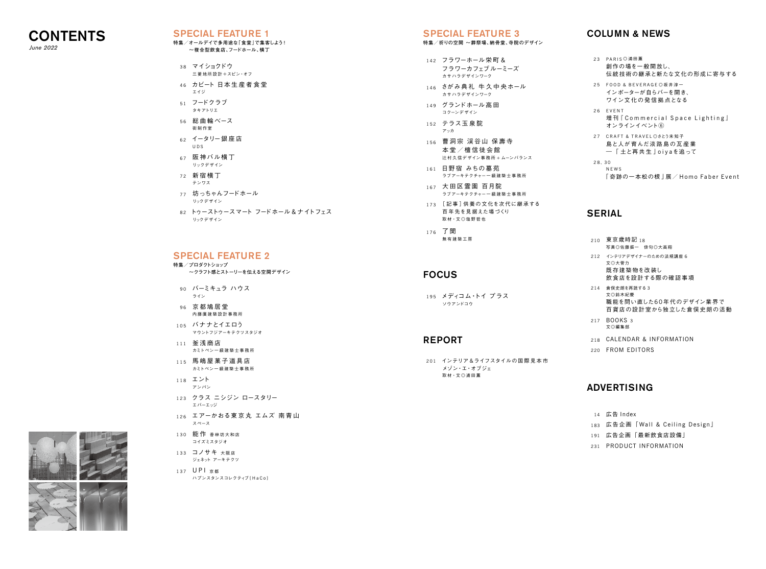

June 2022

 23 PARIS ◎浦田薫 創作の場を一般開放し、 伝統技術の継承と新たな文化の形成に寄与する FOOD & BEVERAGE◎坂井淳一 インポーターが自らバーを開き、 ワイン文 化の発 信 拠 点となる EVENT 増刊『Commercial Space Lighting』 オンラインイベント⑥ CRAFT & TRAVEL◎さとう未知子 島と人が育んだ淡路島の瓦産業 ―「 土と再共生 」oiyaを追って  $30$  NEWS 「 奇跡の一本松の根 」展/ Homo Faber Event

### RIAL

 210 東京歳時記 18 写真◎佐藤振一 俳句◎大高翔 212 インテリアデザイナーのための法規講座 6 文◎大菅力 既存建築物を改装し 飲食店を設計する際の確認事項 214 倉俣史朗を再読する 3 文◎鈴木紀慶 職能を問い直した60年代のデザイン業界で 百貨店の設計室から独立した倉俣史朗の活動 217 BOOKS 3 文◎編集部 CALENDAR & INFORMATION FROM EDITORS

### *VERTISING*

### COLUMN & NEWS

広告 Index 広告企画「Wall & Ceiling Design 」 広告企画「最新飲食店設備」 231 PRODUCT INFORMATION

## SPECIAL FEATURE 2

| 特集/プロダクトショップ           |  |
|------------------------|--|
| ~クラフト感とストーリーを伝える空間デザイン |  |
|                        |  |

|     |                                                    | ADV        |
|-----|----------------------------------------------------|------------|
|     | メゾン・エ・オブジェ<br>取材·文◎浦田薫                             |            |
|     | 201 インテリア&ライフスタイルの国際見本市                            | 220        |
|     | <b>REPORT</b>                                      | 218        |
|     |                                                    | 217        |
|     | 195 メディコム・トイ プラス<br>ソウアンドコウ                        |            |
|     | <b>FOCUS</b>                                       | 214        |
|     |                                                    | 212        |
|     | 176 了聞<br>無有建築工房                                   | 210        |
|     | 173 [記事]供養の文化を次代に継承する<br>百年先を見据えた場づくり<br>取材·文◎塩野哲也 | <b>SEF</b> |
|     | 167 大田区霊園 百月院<br>ラブアーキテクチャーー級建築士事務所                |            |
| 161 | 日野宿 みちの墓苑<br>ラブアーキテクチャーー級建築士事務所                    |            |
|     | 156 曹洞宗 渓谷山 保壽寺<br>本堂/檀信徒会館<br>辻村久信デザイン事務所+ムーンバランス | 27<br>28.  |
| 152 | テラス玉泉院<br>アッカ                                      |            |
|     | 149 グランドホール高田<br>コクーンデザイン                          | 26         |
| 146 | さがみ典礼 牛久中央ホール<br>カサハラデザインワーク                       | 25         |
|     | 142 フラワーホール栄町&<br>フラワーカフェブルーミーズ<br>カサハラデザインワーク     | 23         |
|     |                                                    |            |

- 
- -



- 38 マイショクドウ 三菱 地 所 設 計 + スピン・オフ
- 46 カビート 日本生産者食堂 エイジ
- 51 フードクラブ タキアトリエ
- 56 総 曲 輪ベース 街制作室
- 62 イータリー銀 座 店 UDS
- 67 阪神バル横丁 リックデザイン
- 72 新宿横丁 テンワス
- 77 坊っちゃんフードホール リックデザイン
- 82 トゥーストゥースマート フードホール & ナイトフェス リックデザイン

- 90 バーミキュラ ハウス ライン
- 96 京都鳩居堂 内藤廣建築設計事務所
- 105 バナナとイエロう マウントフジアーキテクツスタジオ
- 111 釜浅商店 カミトペン一 級 建 築 士 事 務 所
- 115 馬嶋屋菓子道具店 カミトペン一 級 建 築 士 事 務 所
- 118 エント アンパン
- 123 クラス ニシジン ロースタリー エバーエッジ
- 126 エアーかおる東京丸 エムズ 南青山 スペース
- 130 能 作 香林坊大和店 コイズミスタジオ
- 133 コノサキ 大阪店 ジェネット アーキテクツ
- 137 UPI 京都 ハプンスタンスコレクティブ [HaCo]

### SPECIAL FEATURE 3

**特集/祈りの空間 ~葬祭場、納骨堂、寺院のデザイン**

### SPECIAL FEATURE 1

#### **特集/オールデイで多用途な「食堂」で集客しよう! ~複合型飲食店、フードホール、横丁**